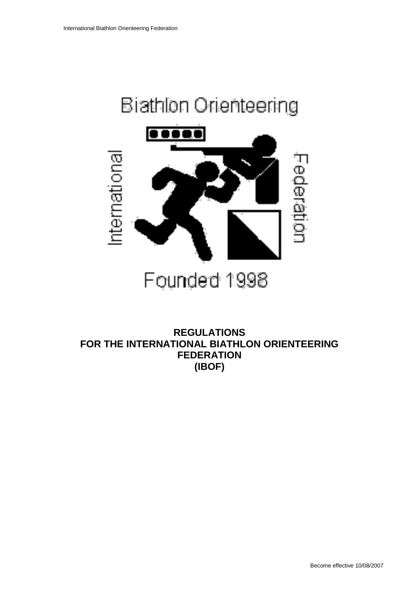

# **REGULATIONS FOR THE INTERNATIONAL BIATHLON ORIENTEERING FEDERATION (IBOF)**

Become effective 10/08/2007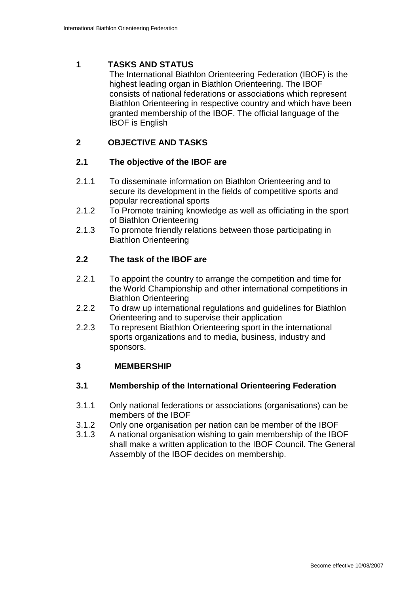### **1 TASKS AND STATUS**

The International Biathlon Orienteering Federation (IBOF) is the highest leading organ in Biathlon Orienteering. The IBOF consists of national federations or associations which represent Biathlon Orienteering in respective country and which have been granted membership of the IBOF. The official language of the IBOF is English

### **2 OBJECTIVE AND TASKS**

#### **2.1 The objective of the IBOF are**

- 2.1.1 To disseminate information on Biathlon Orienteering and to secure its development in the fields of competitive sports and popular recreational sports
- 2.1.2 To Promote training knowledge as well as officiating in the sport of Biathlon Orienteering
- 2.1.3 To promote friendly relations between those participating in Biathlon Orienteering

#### **2.2 The task of the IBOF are**

- 2.2.1 To appoint the country to arrange the competition and time for the World Championship and other international competitions in Biathlon Orienteering
- 2.2.2 To draw up international regulations and guidelines for Biathlon Orienteering and to supervise their application
- 2.2.3 To represent Biathlon Orienteering sport in the international sports organizations and to media, business, industry and sponsors.

### **3 MEMBERSHIP**

#### **3.1 Membership of the International Orienteering Federation**

- 3.1.1 Only national federations or associations (organisations) can be members of the IBOF
- 3.1.2 Only one organisation per nation can be member of the IBOF
- 3.1.3 A national organisation wishing to gain membership of the IBOF shall make a written application to the IBOF Council. The General Assembly of the IBOF decides on membership.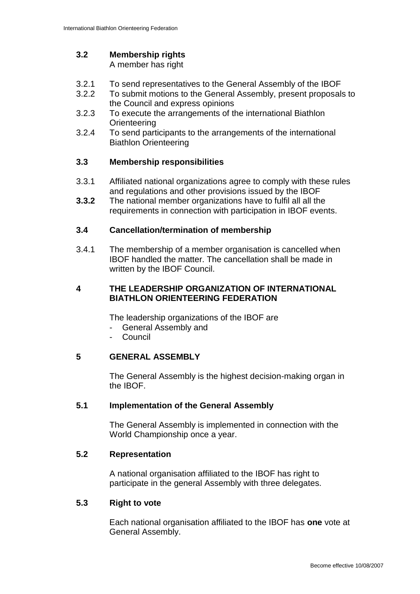## **3.2 Membership rights**

A member has right

- 3.2.1 To send representatives to the General Assembly of the IBOF
- 3.2.2 To submit motions to the General Assembly, present proposals to the Council and express opinions
- 3.2.3 To execute the arrangements of the international Biathlon **Orienteering**
- 3.2.4 To send participants to the arrangements of the international Biathlon Orienteering

#### **3.3 Membership responsibilities**

- 3.3.1 Affiliated national organizations agree to comply with these rules and regulations and other provisions issued by the IBOF
- **3.3.2** The national member organizations have to fulfil all all the requirements in connection with participation in IBOF events.

#### **3.4 Cancellation/termination of membership**

3.4.1 The membership of a member organisation is cancelled when IBOF handled the matter. The cancellation shall be made in written by the IBOF Council.

#### **4 THE LEADERSHIP ORGANIZATION OF INTERNATIONAL BIATHLON ORIENTEERING FEDERATION**

The leadership organizations of the IBOF are

- General Assembly and
- Council

#### **5 GENERAL ASSEMBLY**

The General Assembly is the highest decision-making organ in the IBOF.

#### **5.1 Implementation of the General Assembly**

The General Assembly is implemented in connection with the World Championship once a year.

#### **5.2 Representation**

A national organisation affiliated to the IBOF has right to participate in the general Assembly with three delegates.

#### **5.3 Right to vote**

Each national organisation affiliated to the IBOF has **one** vote at General Assembly.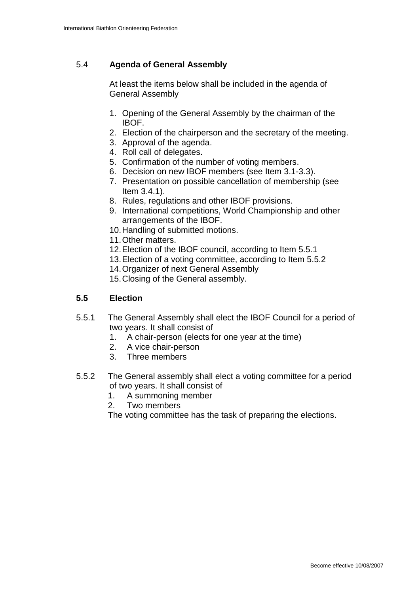### 5.4 **Agenda of General Assembly**

At least the items below shall be included in the agenda of General Assembly

- 1. Opening of the General Assembly by the chairman of the IBOF.
- 2. Election of the chairperson and the secretary of the meeting.
- 3. Approval of the agenda.
- 4. Roll call of delegates.
- 5. Confirmation of the number of voting members.
- 6. Decision on new IBOF members (see Item 3.1-3.3).
- 7. Presentation on possible cancellation of membership (see Item 3.4.1).
- 8. Rules, regulations and other IBOF provisions.
- 9. International competitions, World Championship and other arrangements of the IBOF.
- 10.Handling of submitted motions.
- 11.Other matters.
- 12.Election of the IBOF council, according to Item 5.5.1
- 13.Election of a voting committee, according to Item 5.5.2
- 14.Organizer of next General Assembly
- 15.Closing of the General assembly.

### **5.5 Election**

- 5.5.1 The General Assembly shall elect the IBOF Council for a period of two years. It shall consist of
	- 1. A chair-person (elects for one year at the time)
	- 2. A vice chair-person
	- 3. Three members
- 5.5.2 The General assembly shall elect a voting committee for a period of two years. It shall consist of
	- 1. A summoning member
	- 2. Two members

The voting committee has the task of preparing the elections.